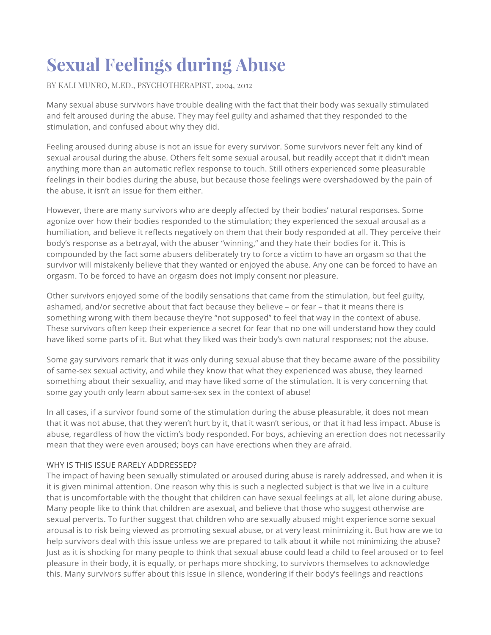# **Sexual Feelings during Abuse**

BY KALI MUNRO, M.ED., PSYCHOTHERAPIST, 2004, 2012

Many sexual abuse survivors have trouble dealing with the fact that their body was sexually stimulated and felt aroused during the abuse. They may feel guilty and ashamed that they responded to the stimulation, and confused about why they did.

Feeling aroused during abuse is not an issue for every survivor. Some survivors never felt any kind of sexual arousal during the abuse. Others felt some sexual arousal, but readily accept that it didn't mean anything more than an automatic reflex response to touch. Still others experienced some pleasurable feelings in their bodies during the abuse, but because those feelings were overshadowed by the pain of the abuse, it isn't an issue for them either.

However, there are many survivors who are deeply affected by their bodies' natural responses. Some agonize over how their bodies responded to the stimulation; they experienced the sexual arousal as a humiliation, and believe it reflects negatively on them that their body responded at all. They perceive their body's response as a betrayal, with the abuser "winning," and they hate their bodies for it. This is compounded by the fact some abusers deliberately try to force a victim to have an orgasm so that the survivor will mistakenly believe that they wanted or enjoyed the abuse. Any one can be forced to have an orgasm. To be forced to have an orgasm does not imply consent nor pleasure.

Other survivors enjoyed some of the bodily sensations that came from the stimulation, but feel guilty, ashamed, and/or secretive about that fact because they believe – or fear – that it means there is something wrong with them because they're "not supposed" to feel that way in the context of abuse. These survivors often keep their experience a secret for fear that no one will understand how they could have liked some parts of it. But what they liked was their body's own natural responses; not the abuse.

Some gay survivors remark that it was only during sexual abuse that they became aware of the possibility of same-sex sexual activity, and while they know that what they experienced was abuse, they learned something about their sexuality, and may have liked some of the stimulation. It is very concerning that some gay youth only learn about same-sex sex in the context of abuse!

In all cases, if a survivor found some of the stimulation during the abuse pleasurable, it does not mean that it was not abuse, that they weren't hurt by it, that it wasn't serious, or that it had less impact. Abuse is abuse, regardless of how the victim's body responded. For boys, achieving an erection does not necessarily mean that they were even aroused; boys can have erections when they are afraid.

### WHY IS THIS ISSUE RARELY ADDRESSED?

The impact of having been sexually stimulated or aroused during abuse is rarely addressed, and when it is it is given minimal attention. One reason why this is such a neglected subject is that we live in a culture that is uncomfortable with the thought that children can have sexual feelings at all, let alone during abuse. Many people like to think that children are asexual, and believe that those who suggest otherwise are sexual perverts. To further suggest that children who are sexually abused might experience some sexual arousal is to risk being viewed as promoting sexual abuse, or at very least minimizing it. But how are we to help survivors deal with this issue unless we are prepared to talk about it while not minimizing the abuse? Just as it is shocking for many people to think that sexual abuse could lead a child to feel aroused or to feel pleasure in their body, it is equally, or perhaps more shocking, to survivors themselves to acknowledge this. Many survivors suffer about this issue in silence, wondering if their body's feelings and reactions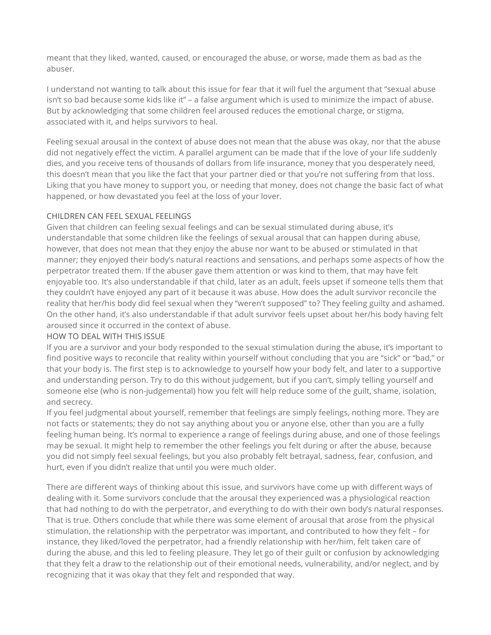meant that they liked, wanted, caused, or encouraged the abuse, or worse, made them as bad as the abuser.

I understand not wanting to talk about this issue for fear that it will fuel the argument that "sexual abuse isn't so bad because some kids like it" – a false argument which is used to minimize the impact of abuse. But by acknowledging that some children feel aroused reduces the emotional charge, or stigma, associated with it, and helps survivors to heal.

Feeling sexual arousal in the context of abuse does not mean that the abuse was okay, nor that the abuse did not negatively effect the victim. A parallel argument can be made that if the love of your life suddenly dies, and you receive tens of thousands of dollars from life insurance, money that you desperately need, this doesn't mean that you like the fact that your partner died or that you're not suffering from that loss. Liking that you have money to support you, or needing that money, does not change the basic fact of what happened, or how devastated you feel at the loss of your lover.

### CHILDREN CAN FEEL SEXUAL FEELINGS

Given that children can feeling sexual feelings and can be sexual stimulated during abuse, it's understandable that some children like the feelings of sexual arousal that can happen during abuse, however, that does not mean that they enjoy the abuse nor want to be abused or stimulated in that manner; they enjoyed their body's natural reactions and sensations, and perhaps some aspects of how the perpetrator treated them. If the abuser gave them attention or was kind to them, that may have felt enjoyable too. It's also understandable if that child, later as an adult, feels upset if someone tells them that they couldn't have enjoyed any part of it because it was abuse. How does the adult survivor reconcile the reality that her/his body did feel sexual when they "weren't supposed" to? They feeling guilty and ashamed. On the other hand, it's also understandable if that adult survivor feels upset about her/his body having felt aroused since it occurred in the context of abuse.

### HOW TO DEAL WITH THIS ISSUE

If you are a survivor and your body responded to the sexual stimulation during the abuse, it's important to find positive ways to reconcile that reality within yourself without concluding that you are "sick" or "bad," or that your body is. The first step is to acknowledge to yourself how your body felt, and later to a supportive and understanding person. Try to do this without judgement, but if you can't, simply telling yourself and someone else (who is non-judgemental) how you felt will help reduce some of the guilt, shame, isolation, and secrecy.

If you feel judgmental about yourself, remember that feelings are simply feelings, nothing more. They are not facts or statements; they do not say anything about you or anyone else, other than you are a fully feeling human being. It's normal to experience a range of feelings during abuse, and one of those feelings may be sexual. It might help to remember the other feelings you felt during or after the abuse, because you did not simply feel sexual feelings, but you also probably felt betrayal, sadness, fear, confusion, and hurt, even if you didn't realize that until you were much older.

There are different ways of thinking about this issue, and survivors have come up with different ways of dealing with it. Some survivors conclude that the arousal they experienced was a physiological reaction that had nothing to do with the perpetrator, and everything to do with their own body's natural responses. That is true. Others conclude that while there was some element of arousal that arose from the physical stimulation, the relationship with the perpetrator was important, and contributed to how they felt – for instance, they liked/loved the perpetrator, had a friendly relationship with her/him, felt taken care of during the abuse, and this led to feeling pleasure. They let go of their guilt or confusion by acknowledging that they felt a draw to the relationship out of their emotional needs, vulnerability, and/or neglect, and by recognizing that it was okay that they felt and responded that way.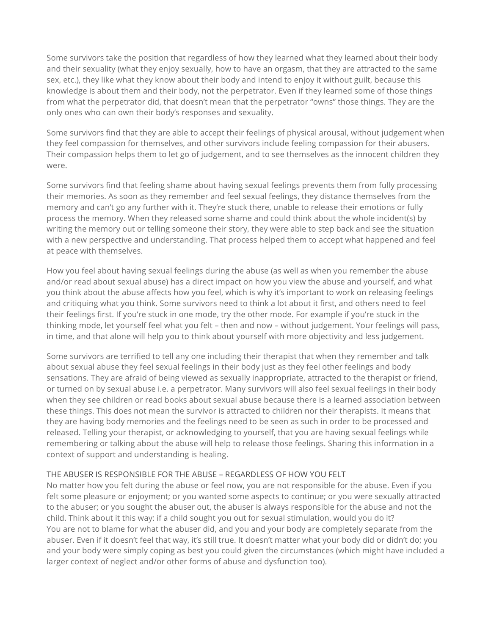Some survivors take the position that regardless of how they learned what they learned about their body and their sexuality (what they enjoy sexually, how to have an orgasm, that they are attracted to the same sex, etc.), they like what they know about their body and intend to enjoy it without guilt, because this knowledge is about them and their body, not the perpetrator. Even if they learned some of those things from what the perpetrator did, that doesn't mean that the perpetrator "owns" those things. They are the only ones who can own their body's responses and sexuality.

Some survivors find that they are able to accept their feelings of physical arousal, without judgement when they feel compassion for themselves, and other survivors include feeling compassion for their abusers. Their compassion helps them to let go of judgement, and to see themselves as the innocent children they were.

Some survivors find that feeling shame about having sexual feelings prevents them from fully processing their memories. As soon as they remember and feel sexual feelings, they distance themselves from the memory and can't go any further with it. They're stuck there, unable to release their emotions or fully process the memory. When they released some shame and could think about the whole incident(s) by writing the memory out or telling someone their story, they were able to step back and see the situation with a new perspective and understanding. That process helped them to accept what happened and feel at peace with themselves.

How you feel about having sexual feelings during the abuse (as well as when you remember the abuse and/or read about sexual abuse) has a direct impact on how you view the abuse and yourself, and what you think about the abuse affects how you feel, which is why it's important to work on releasing feelings and critiquing what you think. Some survivors need to think a lot about it first, and others need to feel their feelings first. If you're stuck in one mode, try the other mode. For example if you're stuck in the thinking mode, let yourself feel what you felt – then and now – without judgement. Your feelings will pass, in time, and that alone will help you to think about yourself with more objectivity and less judgement.

Some survivors are terrified to tell any one including their therapist that when they remember and talk about sexual abuse they feel sexual feelings in their body just as they feel other feelings and body sensations. They are afraid of being viewed as sexually inappropriate, attracted to the therapist or friend, or turned on by sexual abuse i.e. a perpetrator. Many survivors will also feel sexual feelings in their body when they see children or read books about sexual abuse because there is a learned association between these things. This does not mean the survivor is attracted to children nor their therapists. It means that they are having body memories and the feelings need to be seen as such in order to be processed and released. Telling your therapist, or acknowledging to yourself, that you are having sexual feelings while remembering or talking about the abuse will help to release those feelings. Sharing this information in a context of support and understanding is healing.

#### THE ABUSER IS RESPONSIBLE FOR THE ABUSE – REGARDLESS OF HOW YOU FELT

No matter how you felt during the abuse or feel now, you are not responsible for the abuse. Even if you felt some pleasure or enjoyment; or you wanted some aspects to continue; or you were sexually attracted to the abuser; or you sought the abuser out, the abuser is always responsible for the abuse and not the child. Think about it this way: if a child sought you out for sexual stimulation, would you do it? You are not to blame for what the abuser did, and you and your body are completely separate from the abuser. Even if it doesn't feel that way, it's still true. It doesn't matter what your body did or didn't do; you and your body were simply coping as best you could given the circumstances (which might have included a larger context of neglect and/or other forms of abuse and dysfunction too).